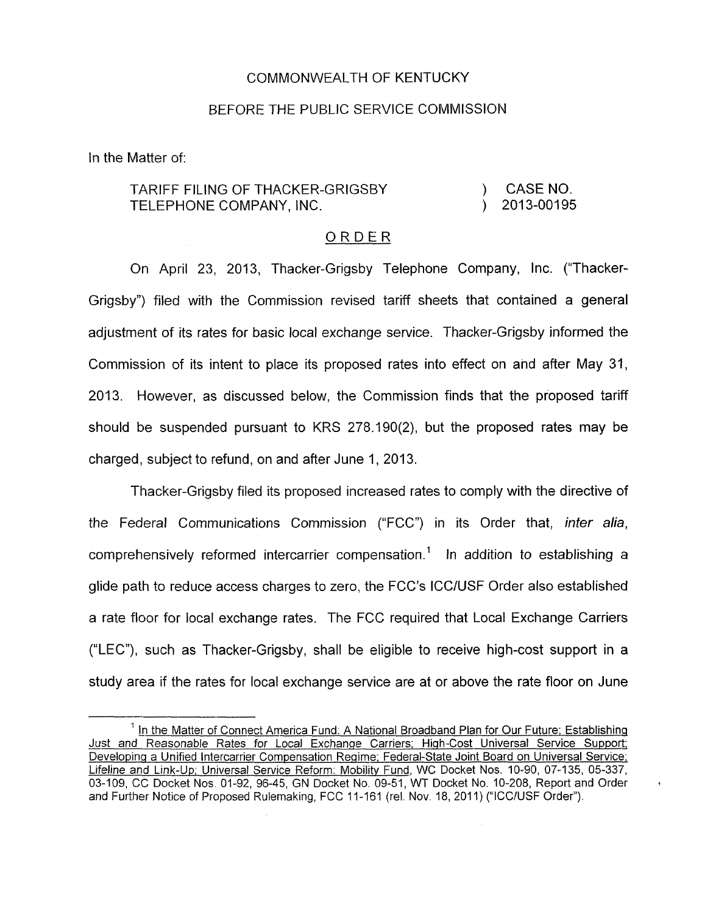## COMMONWEALTH OF KENTUCKY

## BEFORE THE PUBLIC SERVICE COMMlSSlON

In the Matter of:

## TARIFF FILING OF THACKER-GRIGSBY ) CASENO. TELEPHONE COMPANY, INC. (2013-00195)

## ORDER

On April 23, 2013, Thacker-Grigsby Telephone Company, Inc. ("Thacker-Grigsby") filed with the Commission revised tariff sheets that contained a general adjustment of its rates for basic local exchange service. Thacker-Grigsby informed the Commission of its intent to place its proposed rates into effect on and after May 31, 2013. However, as discussed below, the Commission finds that the proposed tariff should be suspended pursuant to KRS 278.190(2), but the proposed rates may be charged, subject to refund, on and after June I, 2013.

Thacker-Grigsby filed its proposed increased rates to comply with the directive of the Federal Communications Commission ("FCC") in its Order that, *inter alia*, comprehensively reformed intercarrier compensation.' In addition to establishing a glide path to reduce access charges to zero, the FCC's ICC/USF Order also established a rate floor for local exchange rates. The FCC required that Local Exchange Carriers ("LEC"), such as Thacker-Grigsby, shall be eligible to receive high-cost support in a study area if the rates for local exchange service are at or above the rate floor on June

**Q** 

<sup>&</sup>lt;sup>1</sup> In the Matter of Connect America Fund: A National Broadband Plan for Our Future; Establishing - Just and Reasonable Rates for Local Exchanae Carriers; High-Cost Universal Service Support; Developing a Unified lntercarrier Compensation Regime; Federal-State Joint Board on Universal Service; Lifeline and Link-Up; Universal Service Reform: Mobility Fund, WC Docket Nos. 10-90, 07-135, 05-337, 03-109, CC Docket Nos. 01-92, 96-45, GN Docket No. 09-51, WT Docket No. 10-208, Report and Order and Further Notice of Proposed Rulemaking, FCC 11-161 (rel. Nov. 18, 2011) ("ICC/USF Order").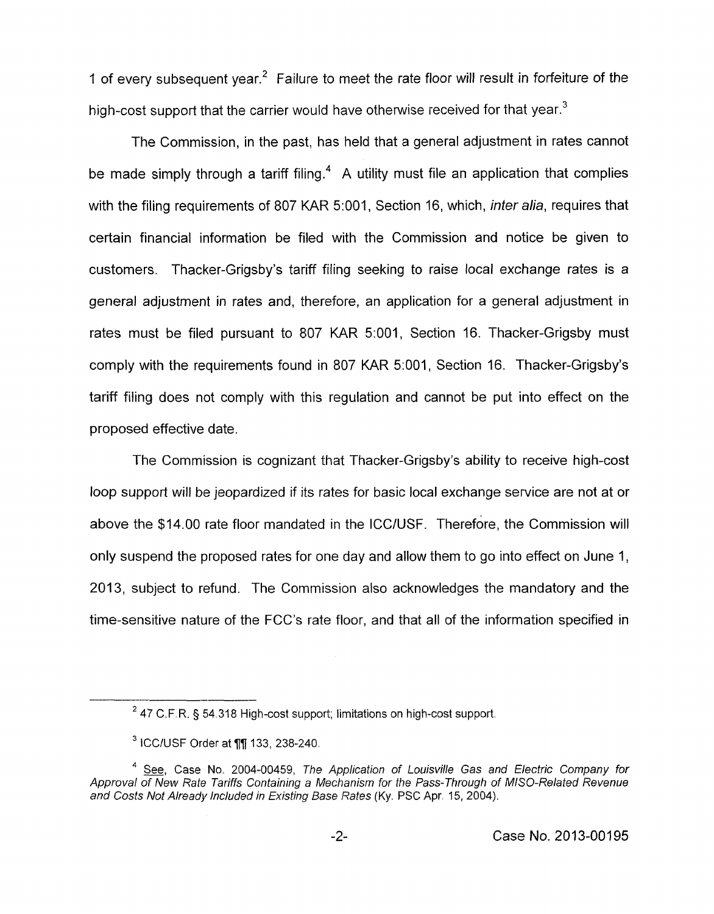1 of every subsequent year.<sup>2</sup> Failure to meet the rate floor will result in forfeiture of the high-cost support that the carrier would have otherwise received for that year.<sup>3</sup>

The Commission, in the past, has held that a general adjustment in rates cannot be made simply through a tariff filing.<sup>4</sup> A utility must file an application that complies with the filing requirements of 807 KAR 5:001, Section 16, which, *inter alia,* requires that certain financial information be filed with the Commission and notice be given to customers. Thacker-Grigsby's tariff filing seeking to raise local exchange rates is a general adjustment in rates and, therefore, an application for a general adjustment in rates must be filed pursuant to 807 KAR 5:001, Section 16. Thacker-Grigsby must comply with the requirements found in 807 KAR 5:001, Section 16. Thacker-Grigsby's tariff filing does not comply with this regulation and cannot be put into effect on the proposed effective date.

The Commission is cognizant that Thacker-Grigsby's ability to receive high-cost loop support will be jeopardized if its rates for basic local exchange service are not at or above the \$14.00 rate floor mandated in the ICC/USF. Therefore, the Commission will only suspend the proposed rates for one day and allow them to go into effect on June 1, 2013, subject to refund. The Commission also acknowledges the mandatory and the time-sensitive nature of the FCC's rate floor, and that all of the information specified in

<sup>47</sup> C.F.R. \$ 54.318 High-cost support; limitations on high-cost support. **<sup>2</sup>**

 $3$  ICC/USF Order at  $\P$  $\P$  133, 238-240.

<sup>&</sup>lt;sup>4</sup> See, Case No. 2004-00459, The Application of Louisville Gas and Electric Company for Approval of New Rate Tariffs Containing a Mechanism for the Pass-Through of MISO-Related Revenue *and Costs Not Already lncluded in €xisting Base Rates* **(Ky.** PSC **Apr.** 15, 2004).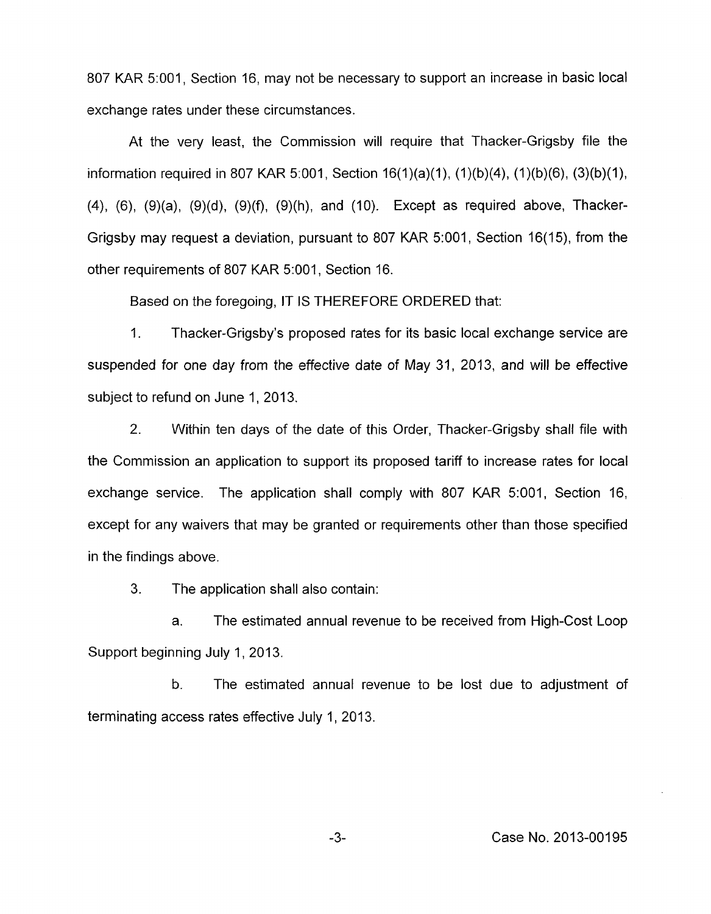807 KAR 5:001, Section 16, may not be necessary to support an increase in basic local exchange rates under these circumstances.

At the very least, the Commission will require that Thacker-Grigsby file the information required in 807 KAR 5:001, Section  $16(1)(a)(1)$ ,  $(1)(b)(4)$ ,  $(1)(b)(6)$ ,  $(3)(b)(1)$ , **(4),** (6), (9)(a), (9)(d), (9)(f), (9)(h), and (IO). Except as required above, Thacker-Grigsby may request a deviation, pursuant to 807 KAR 5:001, Section 16(15), from the other requirements of 807 KAR 5:001, Section 16.

Based on the foregoing, IT IS THEREFORE ORDERED that:

1. Thacker-Grigsby's proposed rates for its basic local exchange service are suspended for one day from the effective date of May 31, 2013, and will be effective subject to refund on June 1, 2013.

2. Within ten days of the date of this Order, Thacker-Grigsby shall file with the Commission an application to support its proposed tariff to increase rates for local exchange service. The application shall comply with 807 KAR 5:001, Section 16, except for any waivers that may be granted or requirements other than those specified in the findings above.

3. The application shall also contain:

a. The estimated annual revenue to be received from High-Cost Loop Support beginning July 1, 2013.

b. The estimated annual revenue to be lost due to adjustment of terminating access rates effective July 1, 2013.

**-3-** Case No. 2013-00195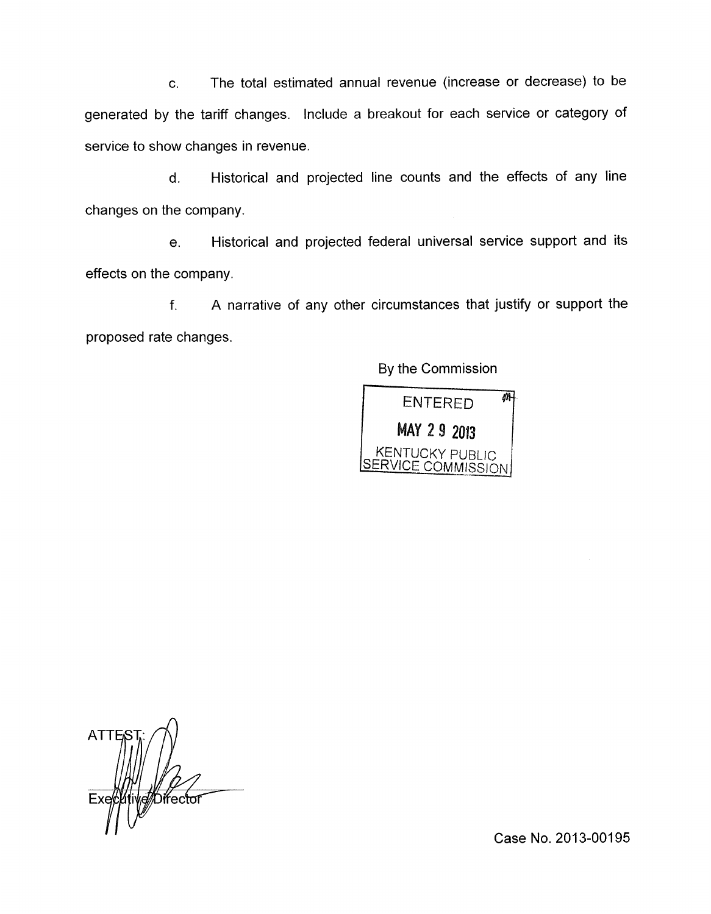c. The total estimated annual revenue (increase or decrease) to be generated by the tariff changes. Include a breakout for each service or category of service to show changes in revenue.

d. Historical and projected line counts and the effects of any line changes on the company.

e. Historical and projected federal universal service support and its effects on the company.

f. A narrative of any other circumstances that justify or support the proposed rate changes.

By the Commission



**ATTES Difector** 

.. Case **No.** 2013-00195